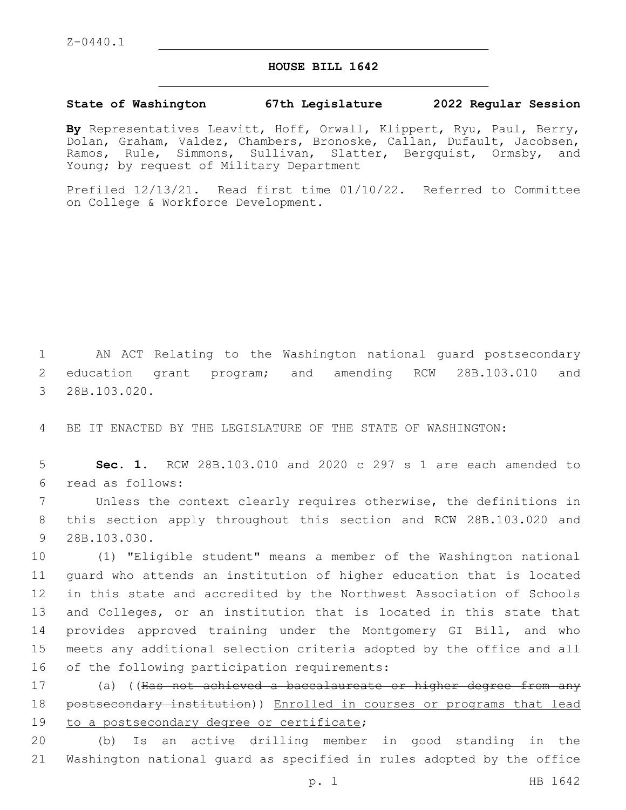## **HOUSE BILL 1642**

## **State of Washington 67th Legislature 2022 Regular Session**

**By** Representatives Leavitt, Hoff, Orwall, Klippert, Ryu, Paul, Berry, Dolan, Graham, Valdez, Chambers, Bronoske, Callan, Dufault, Jacobsen, Ramos, Rule, Simmons, Sullivan, Slatter, Bergquist, Ormsby, and Young; by request of Military Department

Prefiled 12/13/21. Read first time 01/10/22. Referred to Committee on College & Workforce Development.

1 AN ACT Relating to the Washington national guard postsecondary 2 education grant program; and amending RCW 28B.103.010 and 3 28B.103.020.

4 BE IT ENACTED BY THE LEGISLATURE OF THE STATE OF WASHINGTON:

5 **Sec. 1.** RCW 28B.103.010 and 2020 c 297 s 1 are each amended to read as follows:6

7 Unless the context clearly requires otherwise, the definitions in 8 this section apply throughout this section and RCW 28B.103.020 and 9 28B.103.030.

 (1) "Eligible student" means a member of the Washington national guard who attends an institution of higher education that is located in this state and accredited by the Northwest Association of Schools 13 and Colleges, or an institution that is located in this state that provides approved training under the Montgomery GI Bill, and who meets any additional selection criteria adopted by the office and all 16 of the following participation requirements:

17 (a) ((Has not achieved a baccalaureate or higher degree from any 18 postsecondary institution)) Enrolled in courses or programs that lead 19 to a postsecondary degree or certificate;

20 (b) Is an active drilling member in good standing in the 21 Washington national guard as specified in rules adopted by the office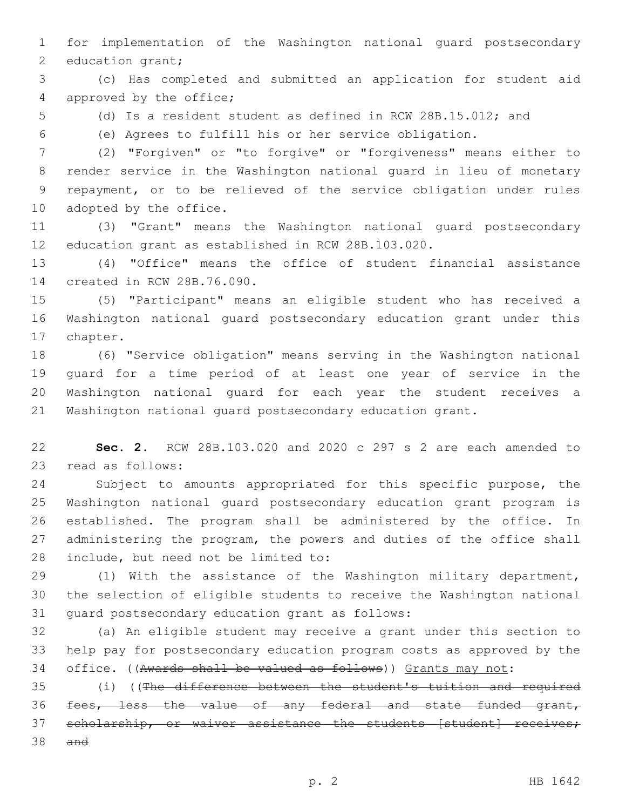for implementation of the Washington national guard postsecondary 2 education grant;

 (c) Has completed and submitted an application for student aid 4 approved by the office;

(d) Is a resident student as defined in RCW 28B.15.012; and

(e) Agrees to fulfill his or her service obligation.

 (2) "Forgiven" or "to forgive" or "forgiveness" means either to render service in the Washington national guard in lieu of monetary repayment, or to be relieved of the service obligation under rules 10 adopted by the office.

 (3) "Grant" means the Washington national guard postsecondary education grant as established in RCW 28B.103.020.

 (4) "Office" means the office of student financial assistance 14 created in RCW 28B.76.090.

 (5) "Participant" means an eligible student who has received a Washington national guard postsecondary education grant under this 17 chapter.

 (6) "Service obligation" means serving in the Washington national guard for a time period of at least one year of service in the Washington national guard for each year the student receives a Washington national guard postsecondary education grant.

 **Sec. 2.** RCW 28B.103.020 and 2020 c 297 s 2 are each amended to 23 read as follows:

 Subject to amounts appropriated for this specific purpose, the Washington national guard postsecondary education grant program is established. The program shall be administered by the office. In administering the program, the powers and duties of the office shall 28 include, but need not be limited to:

 (1) With the assistance of the Washington military department, the selection of eligible students to receive the Washington national 31 quard postsecondary education grant as follows:

 (a) An eligible student may receive a grant under this section to help pay for postsecondary education program costs as approved by the office. ((Awards shall be valued as follows)) Grants may not:

 (i) ((The difference between the student's tuition and required fees, less the value of any federal and state funded grant, 37 scholarship, or waiver assistance the students [student] receives; and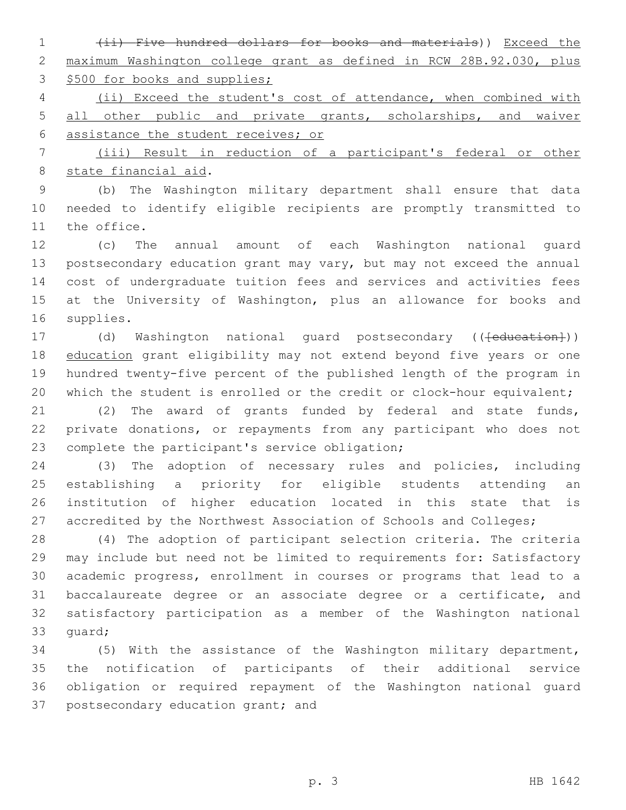(ii) Five hundred dollars for books and materials)) Exceed the maximum Washington college grant as defined in RCW 28B.92.030, plus 3 \$500 for books and supplies;

 (ii) Exceed the student's cost of attendance, when combined with 5 all other public and private grants, scholarships, and waiver assistance the student receives; or

 (iii) Result in reduction of a participant's federal or other 8 state financial aid.

 (b) The Washington military department shall ensure that data needed to identify eligible recipients are promptly transmitted to 11 the office.

 (c) The annual amount of each Washington national guard postsecondary education grant may vary, but may not exceed the annual cost of undergraduate tuition fees and services and activities fees at the University of Washington, plus an allowance for books and 16 supplies.

17 (d) Washington national guard postsecondary ((<del>[education]</del>)) 18 education grant eligibility may not extend beyond five years or one hundred twenty-five percent of the published length of the program in 20 which the student is enrolled or the credit or clock-hour equivalent;

 (2) The award of grants funded by federal and state funds, private donations, or repayments from any participant who does not 23 complete the participant's service obligation;

 (3) The adoption of necessary rules and policies, including establishing a priority for eligible students attending an institution of higher education located in this state that is 27 accredited by the Northwest Association of Schools and Colleges;

 (4) The adoption of participant selection criteria. The criteria may include but need not be limited to requirements for: Satisfactory academic progress, enrollment in courses or programs that lead to a baccalaureate degree or an associate degree or a certificate, and satisfactory participation as a member of the Washington national 33 quard;

 (5) With the assistance of the Washington military department, the notification of participants of their additional service obligation or required repayment of the Washington national guard 37 postsecondary education grant; and